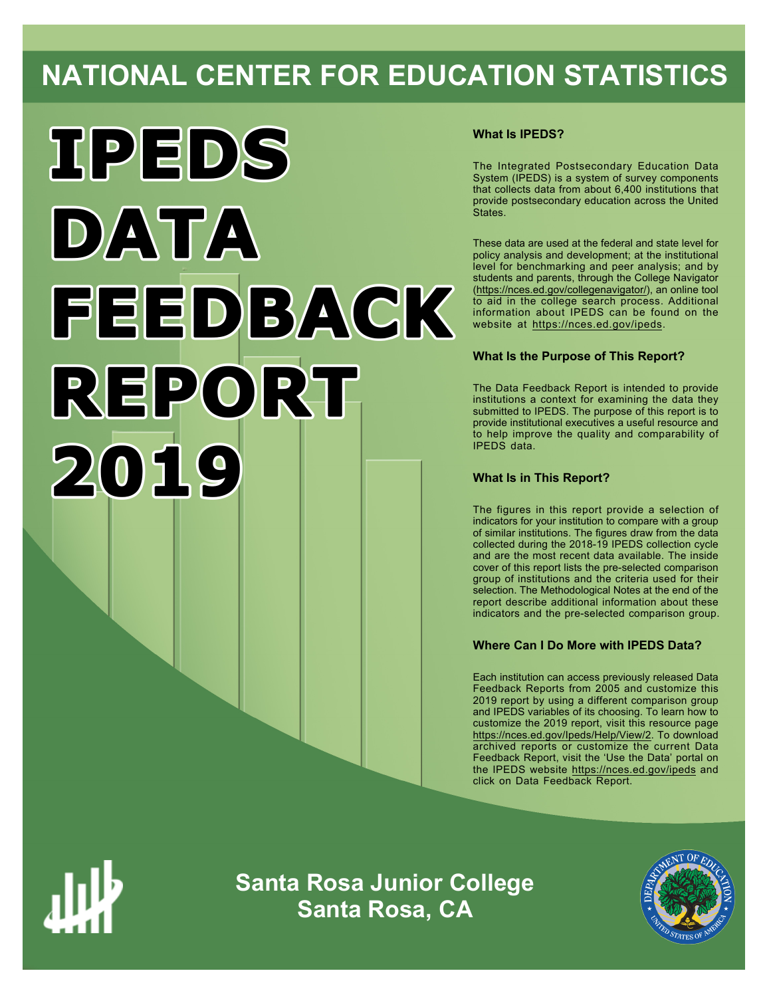# **NATIONAL CENTER FOR EDUCATION STATISTICS**



# **What Is IPEDS?**

The Integrated Postsecondary Education Data System (IPEDS) is a system of survey components that collects data from about 6,400 institutions that provide postsecondary education across the United States.

These data are used at the federal and state level for policy analysis and development; at the institutional level for benchmarking and peer analysis; and by students and parents, through the College Navigator ([https://nces.ed.gov/collegenavigator/\)](https://nces.ed.gov/collegenavigator/), an online tool to aid in the college search process. Additional information about IPEDS can be found on the website at<https://nces.ed.gov/ipeds>.

# **What Is the Purpose of This Report?**

The Data Feedback Report is intended to provide institutions a context for examining the data they submitted to IPEDS. The purpose of this report is to provide institutional executives a useful resource and to help improve the quality and comparability of IPEDS data.

# **What Is in This Report?**

The figures in this report provide a selection of indicators for your institution to compare with a group of similar institutions. The figures draw from the data collected during the 2018-19 IPEDS collection cycle and are the most recent data available. The inside cover of this report lists the pre-selected comparison group of institutions and the criteria used for their selection. The Methodological Notes at the end of the report describe additional information about these indicators and the pre-selected comparison group.

# **Where Can I Do More with IPEDS Data?**

Each institution can access previously released Data Feedback Reports from 2005 and customize this 2019 report by using a different comparison group and IPEDS variables of its choosing. To learn how to customize the 2019 report, visit this resource page <https://nces.ed.gov/Ipeds/Help/View/2>. To download archived reports or customize the current Data Feedback Report, visit the 'Use the Data' portal on the IPEDS website<https://nces.ed.gov/ipeds> and click on Data Feedback Report.



**Santa Rosa Junior College Santa Rosa, CA**

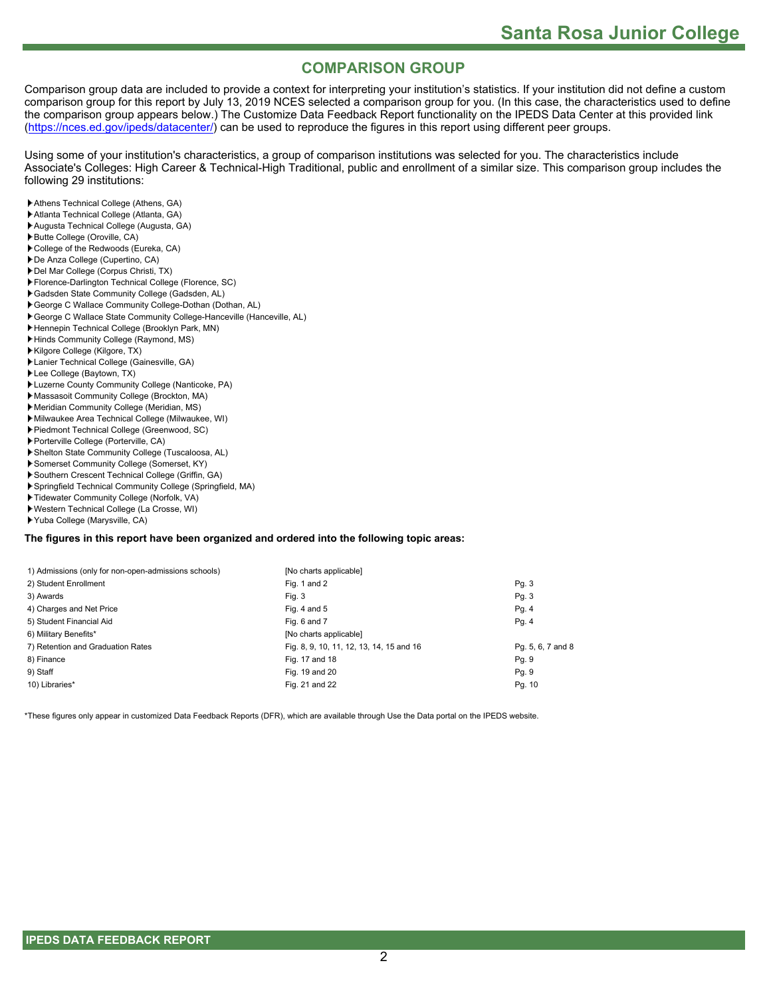# **COMPARISON GROUP**

Comparison group data are included to provide a context for interpreting your institution's statistics. If your institution did not define a custom comparison group for this report by July 13, 2019 NCES selected a comparison group for you. (In this case, the characteristics used to define the comparison group appears below.) The Customize Data Feedback Report functionality on the IPEDS Data Center at this provided link [\(https://nces.ed.gov/ipeds/datacenter/](https://nces.ed.gov/ipeds/datacenter/)) can be used to reproduce the figures in this report using different peer groups.

Using some of your institution's characteristics, a group of comparison institutions was selected for you. The characteristics include Associate's Colleges: High Career & Technical-High Traditional, public and enrollment of a similar size. This comparison group includes the following 29 institutions:

- Athens Technical College (Athens, GA)
- Atlanta Technical College (Atlanta, GA)
- Augusta Technical College (Augusta, GA)
- Butte College (Oroville, CA)
- College of the Redwoods (Eureka, CA)
- De Anza College (Cupertino, CA)
- Del Mar College (Corpus Christi, TX)
- Florence-Darlington Technical College (Florence, SC)
- Gadsden State Community College (Gadsden, AL)
- George C Wallace Community College-Dothan (Dothan, AL) George C Wallace State Community College-Hanceville (Hanceville, AL)
- Hennepin Technical College (Brooklyn Park, MN)
- Hinds Community College (Raymond, MS)
- Kilgore College (Kilgore, TX)
- Lanier Technical College (Gainesville, GA)
- Lee College (Baytown, TX)
- Luzerne County Community College (Nanticoke, PA)
- Massasoit Community College (Brockton, MA)
- Meridian Community College (Meridian, MS)
- Milwaukee Area Technical College (Milwaukee, WI)
- Piedmont Technical College (Greenwood, SC)
- Porterville College (Porterville, CA)
- Shelton State Community College (Tuscaloosa, AL)
- Somerset Community College (Somerset, KY)
- Southern Crescent Technical College (Griffin, GA)
- Springfield Technical Community College (Springfield, MA)
- Tidewater Community College (Norfolk, VA)
- Western Technical College (La Crosse, WI)
- Yuba College (Marysville, CA)

#### **The figures in this report have been organized and ordered into the following topic areas:**

| [No charts applicable]                   |                   |
|------------------------------------------|-------------------|
| Fig. 1 and 2                             | Pg. 3             |
| Fig. 3                                   | Pg. 3             |
| Fig. 4 and $5$                           | Pg.4              |
| Fig. 6 and 7                             | Pg.4              |
| [No charts applicable]                   |                   |
| Fig. 8, 9, 10, 11, 12, 13, 14, 15 and 16 | Pg. 5, 6, 7 and 8 |
| Fig. 17 and 18                           | Pg. 9             |
| Fig. 19 and 20                           | Pg. 9             |
| Fig. 21 and 22                           | Pg. 10            |
|                                          |                   |

\*These figures only appear in customized Data Feedback Reports (DFR), which are available through Use the Data portal on the IPEDS website.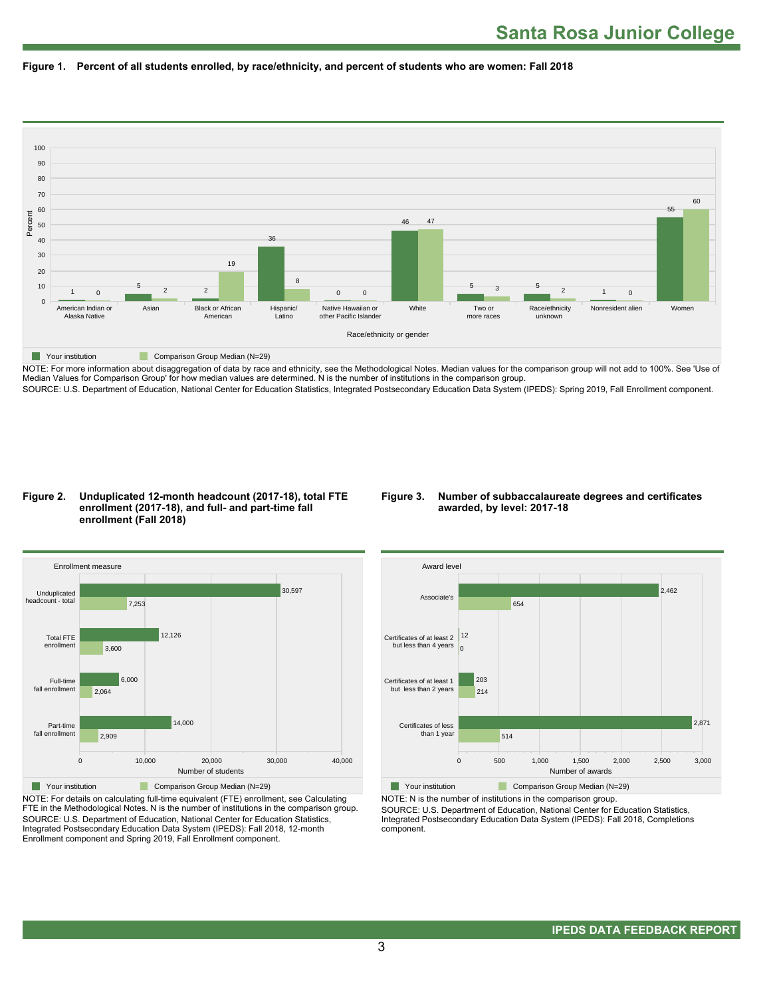



NOTE: For more information about disaggregation of data by race and ethnicity, see the Methodological Notes. Median values for the comparison group will not add to 100%. See 'Use of Median Values for Comparison Group' for how median values are determined. N is the number of institutions in the comparison group. SOURCE: U.S. Department of Education, National Center for Education Statistics, Integrated Postsecondary Education Data System (IPEDS): Spring 2019, Fall Enrollment component.

#### **Figure 2. Unduplicated 12-month headcount (2017-18), total FTE enrollment (2017-18), and full- and part-time fall enrollment (Fall 2018)**

#### **Figure 3. Number of subbaccalaureate degrees and certificates awarded, by level: 2017-18**



NOTE: For details on calculating full-time equivalent (FTE) enrollment, see Calculating FTE in the Methodological Notes. N is the number of institutions in the comparison group. SOURCE: U.S. Department of Education, National Center for Education Statistics, Integrated Postsecondary Education Data System (IPEDS): Fall 2018, 12-month Enrollment component and Spring 2019, Fall Enrollment component.



NOTE: N is the number of institutions in the comparison group.

SOURCE: U.S. Department of Education, National Center for Education Statistics, Integrated Postsecondary Education Data System (IPEDS): Fall 2018, Completions component.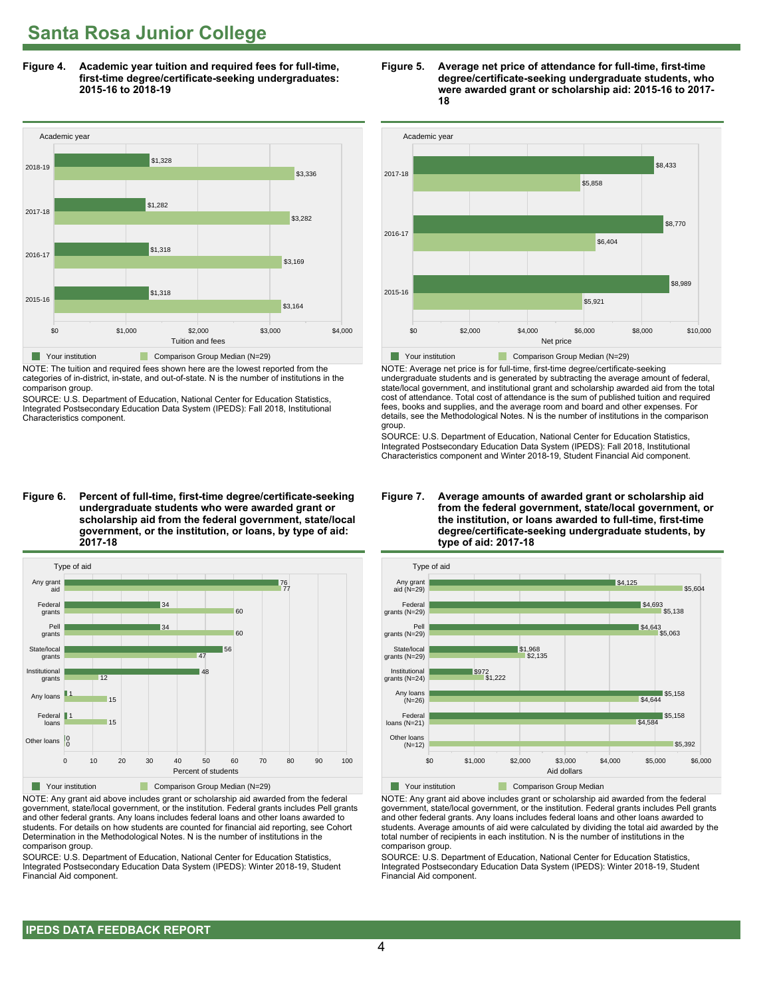**Figure 4. Academic year tuition and required fees for full-time, first-time degree/certificate-seeking undergraduates: 2015-16 to 2018-19**



NOTE: The tuition and required fees shown here are the lowest reported from the categories of in-district, in-state, and out-of-state. N is the number of institutions in the comparison group.

SOURCE: U.S. Department of Education, National Center for Education Statistics, Integrated Postsecondary Education Data System (IPEDS): Fall 2018, Institutional Characteristics component.

**Figure 6. Percent of full-time, first-time degree/certificate-seeking undergraduate students who were awarded grant or scholarship aid from the federal government, state/local government, or the institution, or loans, by type of aid: 2017-18**



NOTE: Any grant aid above includes grant or scholarship aid awarded from the federal government, state/local government, or the institution. Federal grants includes Pell grants and other federal grants. Any loans includes federal loans and other loans awarded to students. For details on how students are counted for financial aid reporting, see Cohort Determination in the Methodological Notes. N is the number of institutions in the comparison group.

SOURCE: U.S. Department of Education, National Center for Education Statistics, Integrated Postsecondary Education Data System (IPEDS): Winter 2018-19, Student Financial Aid component.





NOTE: Average net price is for full-time, first-time degree/certificate-seeking undergraduate students and is generated by subtracting the average amount of federal, state/local government, and institutional grant and scholarship awarded aid from the total cost of attendance. Total cost of attendance is the sum of published tuition and required fees, books and supplies, and the average room and board and other expenses. For details, see the Methodological Notes. N is the number of institutions in the comparison group.

SOURCE: U.S. Department of Education, National Center for Education Statistics, Integrated Postsecondary Education Data System (IPEDS): Fall 2018, Institutional Characteristics component and Winter 2018-19, Student Financial Aid component.





**The Your institution Comparison Group Median** 

NOTE: Any grant aid above includes grant or scholarship aid awarded from the federal government, state/local government, or the institution. Federal grants includes Pell grants and other federal grants. Any loans includes federal loans and other loans awarded to students. Average amounts of aid were calculated by dividing the total aid awarded by the total number of recipients in each institution. N is the number of institutions in the comparison group.

SOURCE: U.S. Department of Education, National Center for Education Statistics, Integrated Postsecondary Education Data System (IPEDS): Winter 2018-19, Student Financial Aid component.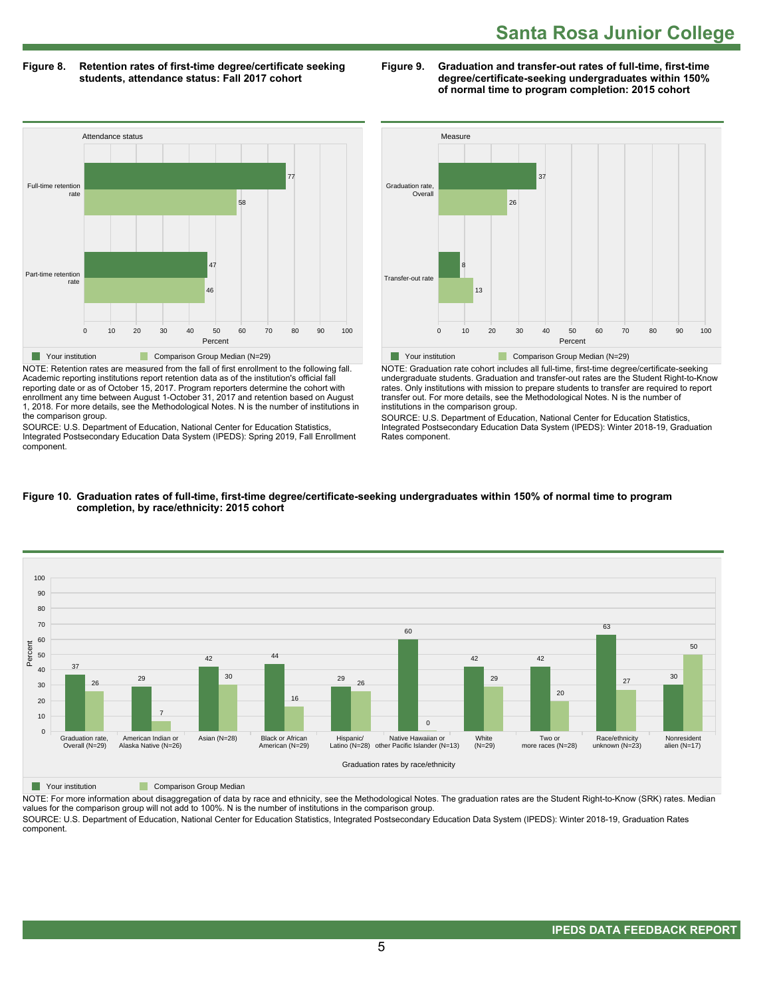**Figure 8. Retention rates of first-time degree/certificate seeking students, attendance status: Fall 2017 cohort**

**Figure 9. Graduation and transfer-out rates of full-time, first-time degree/certificate-seeking undergraduates within 150% of normal time to program completion: 2015 cohort**



NOTE: Retention rates are measured from the fall of first enrollment to the following fall. Academic reporting institutions report retention data as of the institution's official fall reporting date or as of October 15, 2017. Program reporters determine the cohort with enrollment any time between August 1-October 31, 2017 and retention based on August 1, 2018. For more details, see the Methodological Notes. N is the number of institutions in the comparison group.

SOURCE: U.S. Department of Education, National Center for Education Statistics, Integrated Postsecondary Education Data System (IPEDS): Spring 2019, Fall Enrollment component.



NOTE: Graduation rate cohort includes all full-time, first-time degree/certificate-seeking undergraduate students. Graduation and transfer-out rates are the Student Right-to-Know rates. Only institutions with mission to prepare students to transfer are required to report transfer out. For more details, see the Methodological Notes. N is the number of institutions in the comparison group.

SOURCE: U.S. Department of Education, National Center for Education Statistics, Integrated Postsecondary Education Data System (IPEDS): Winter 2018-19, Graduation Rates component.



#### **Figure 10. Graduation rates of full-time, first-time degree/certificate-seeking undergraduates within 150% of normal time to program completion, by race/ethnicity: 2015 cohort**

**The Comparison Group Median** 

NOTE: For more information about disaggregation of data by race and ethnicity, see the Methodological Notes. The graduation rates are the Student Right-to-Know (SRK) rates. Median values for the comparison group will not add to 100%. N is the number of institutions in the comparison group.

SOURCE: U.S. Department of Education, National Center for Education Statistics, Integrated Postsecondary Education Data System (IPEDS): Winter 2018-19, Graduation Rates component.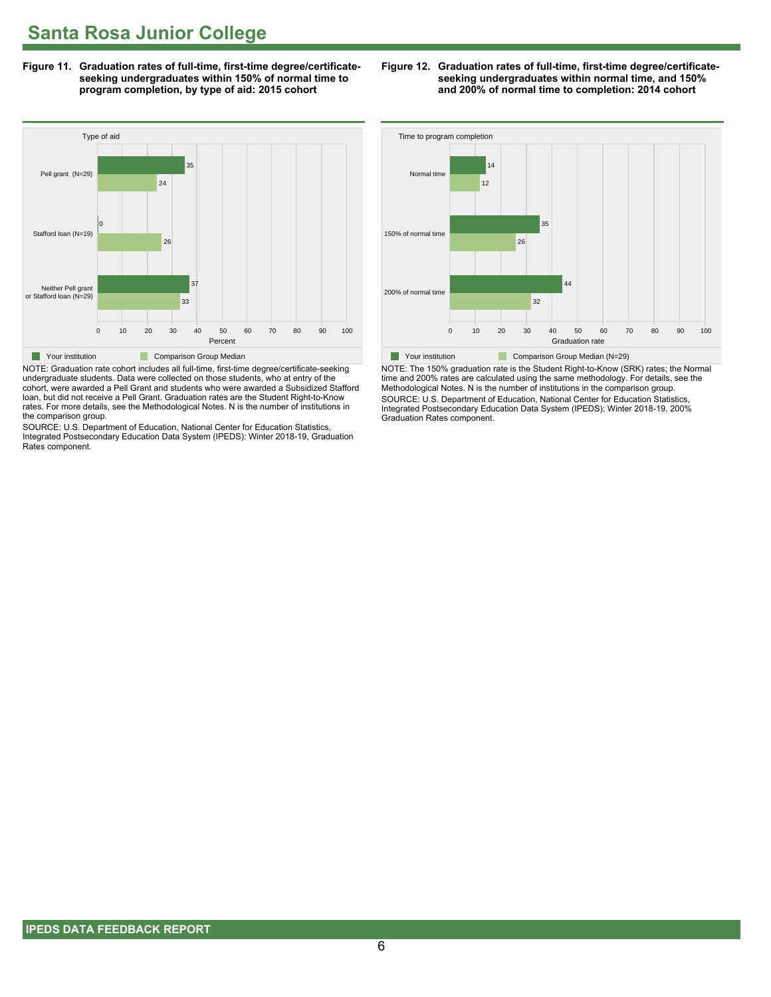**Figure 11. Graduation rates of full-time, first-time degree/certificateseeking undergraduates within 150% of normal time to program completion, by type of aid: 2015 cohort**



NOTE: Graduation rate cohort includes all full-time, first-time degree/certificate-seeking undergraduate students. Data were collected on those students, who at entry of the cohort, were awarded a Pell Grant and students who were awarded a Subsidized Stafford loan, but did not receive a Pell Grant. Graduation rates are the Student Right-to-Know rates. For more details, see the Methodological Notes. N is the number of institutions in the comparison group.

SOURCE: U.S. Department of Education, National Center for Education Statistics, Integrated Postsecondary Education Data System (IPEDS): Winter 2018-19, Graduation Rates component.

**Figure 12. Graduation rates of full-time, first-time degree/certificateseeking undergraduates within normal time, and 150% and 200% of normal time to completion: 2014 cohort**



NOTE: The 150% graduation rate is the Student Right-to-Know (SRK) rates; the Normal time and 200% rates are calculated using the same methodology. For details, see the Methodological Notes. N is the number of institutions in the comparison group. SOURCE: U.S. Department of Education, National Center for Education Statistics, Integrated Postsecondary Education Data System (IPEDS): Winter 2018-19, 200% Graduation Rates component.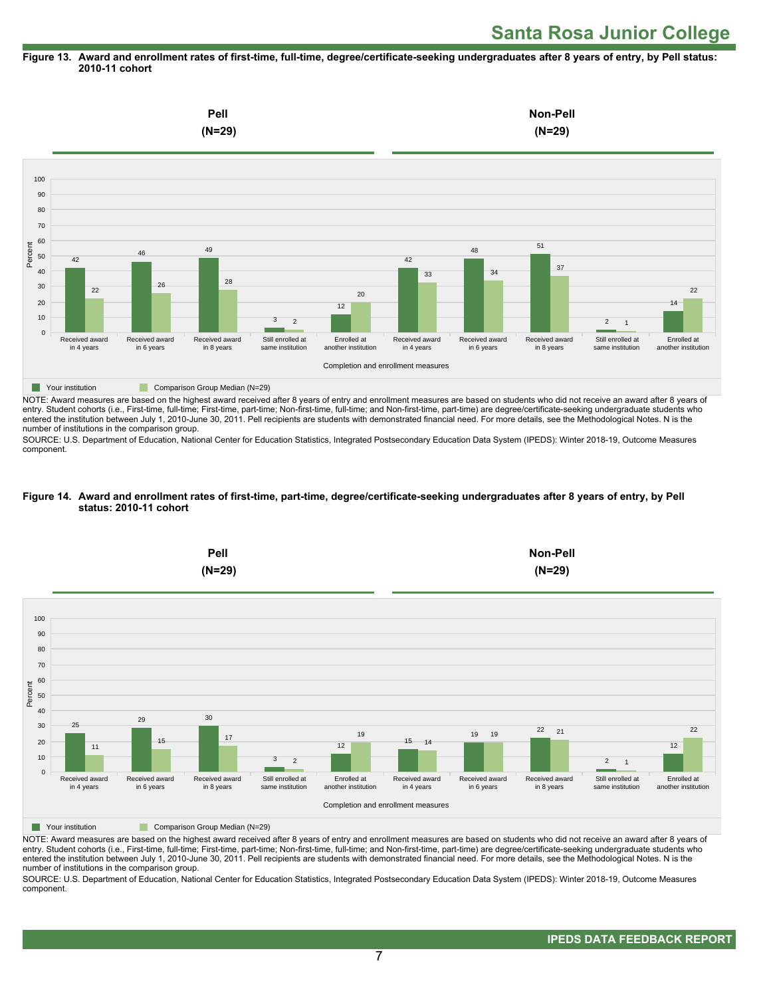#### **Figure 13. Award and enrollment rates of first-time, full-time, degree/certificate-seeking undergraduates after 8 years of entry, by Pell status: 2010-11 cohort**



NOTE: Award measures are based on the highest award received after 8 years of entry and enrollment measures are based on students who did not receive an award after 8 years of entry. Student cohorts (i.e., First-time, full-time; First-time, part-time; Non-first-time, full-time; and Non-first-time, part-time) are degree/certificate-seeking undergraduate students who entered the institution between July 1, 2010-June 30, 2011. Pell recipients are students with demonstrated financial need. For more details, see the Methodological Notes. N is the number of institutions in the comparison group.

SOURCE: U.S. Department of Education, National Center for Education Statistics, Integrated Postsecondary Education Data System (IPEDS): Winter 2018-19, Outcome Measures component.

#### **Figure 14. Award and enrollment rates of first-time, part-time, degree/certificate-seeking undergraduates after 8 years of entry, by Pell status: 2010-11 cohort**



NOTE: Award measures are based on the highest award received after 8 years of entry and enrollment measures are based on students who did not receive an award after 8 years of entry. Student cohorts (i.e., First-time, full-time; First-time, part-time; Non-first-time, full-time; and Non-first-time, part-time) are degree/certificate-seeking undergraduate students who entered the institution between July 1, 2010-June 30, 2011. Pell recipients are students with demonstrated financial need. For more details, see the Methodological Notes. N is the number of institutions in the comparison group.

SOURCE: U.S. Department of Education, National Center for Education Statistics, Integrated Postsecondary Education Data System (IPEDS): Winter 2018-19, Outcome Measures component.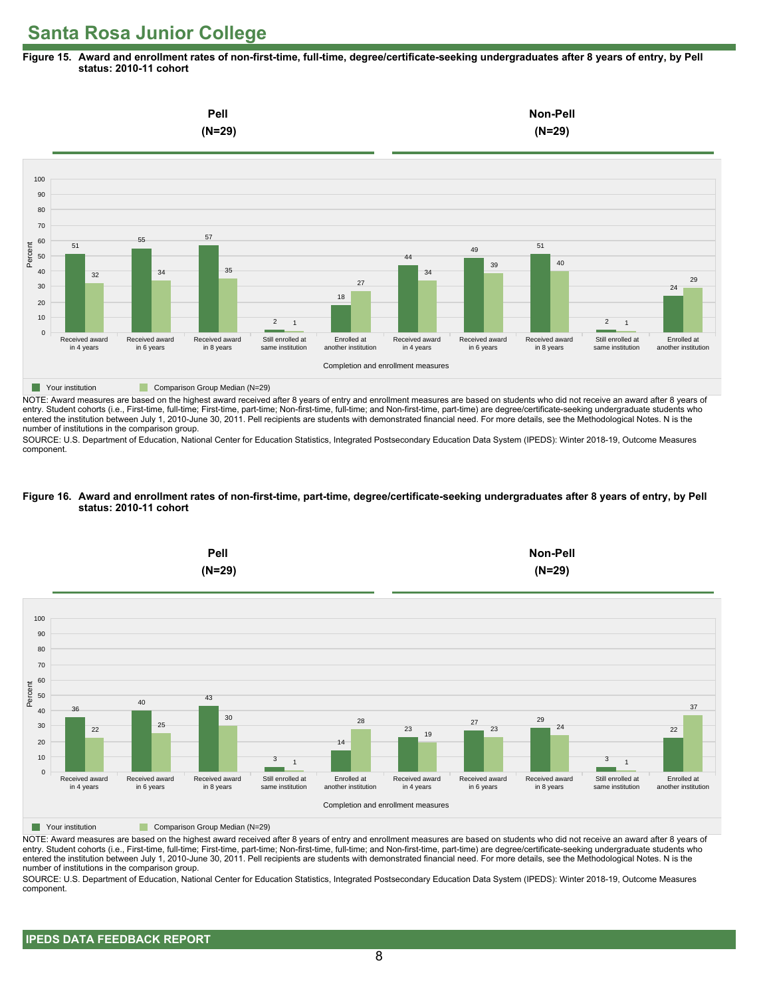**Figure 15. Award and enrollment rates of non-first-time, full-time, degree/certificate-seeking undergraduates after 8 years of entry, by Pell status: 2010-11 cohort**



NOTE: Award measures are based on the highest award received after 8 years of entry and enrollment measures are based on students who did not receive an award after 8 years of entry. Student cohorts (i.e., First-time, full-time; First-time, part-time; Non-first-time, full-time; and Non-first-time, part-time) are degree/certificate-seeking undergraduate students who entered the institution between July 1, 2010-June 30, 2011. Pell recipients are students with demonstrated financial need. For more details, see the Methodological Notes. N is the number of institutions in the comparison group.

SOURCE: U.S. Department of Education, National Center for Education Statistics, Integrated Postsecondary Education Data System (IPEDS): Winter 2018-19, Outcome Measures component.

#### **Figure 16. Award and enrollment rates of non-first-time, part-time, degree/certificate-seeking undergraduates after 8 years of entry, by Pell status: 2010-11 cohort**



NOTE: Award measures are based on the highest award received after 8 years of entry and enrollment measures are based on students who did not receive an award after 8 years of entry. Student cohorts (i.e., First-time, full-time; First-time, part-time; Non-first-time, full-time; and Non-first-time, part-time) are degree/certificate-seeking undergraduate students who entered the institution between July 1, 2010-June 30, 2011. Pell recipients are students with demonstrated financial need. For more details, see the Methodological Notes. N is the number of institutions in the comparison group.

SOURCE: U.S. Department of Education, National Center for Education Statistics, Integrated Postsecondary Education Data System (IPEDS): Winter 2018-19, Outcome Measures component.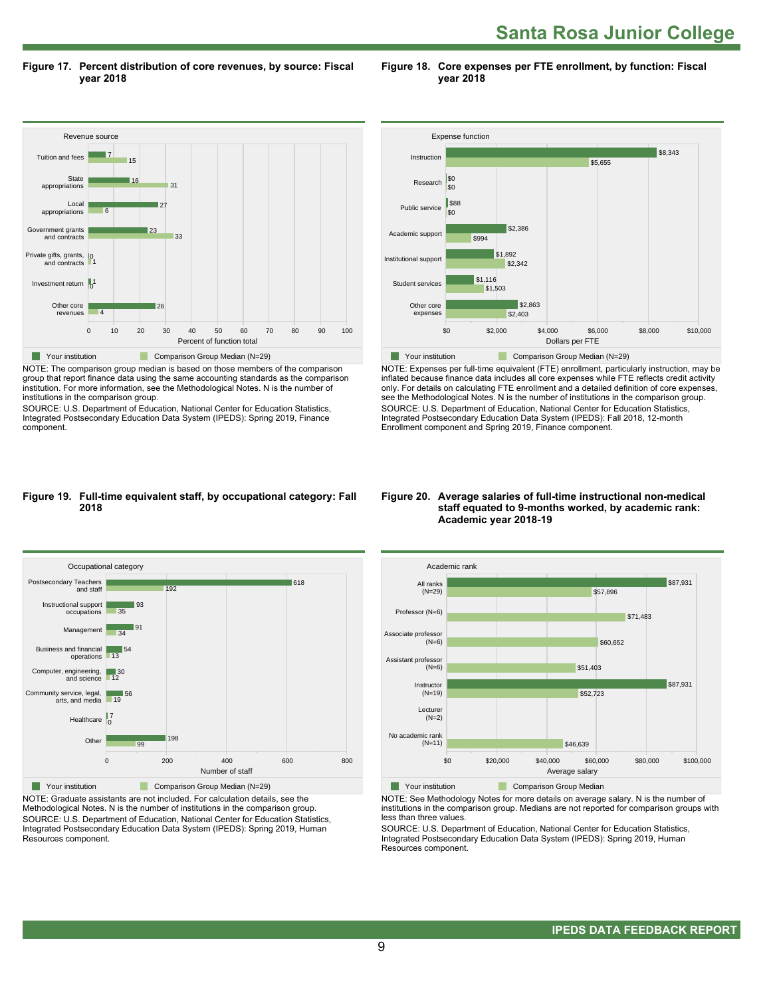**Santa Rosa Junior College** 

**Figure 17. Percent distribution of core revenues, by source: Fiscal year 2018**

**Figure 18. Core expenses per FTE enrollment, by function: Fiscal year 2018**



NOTE: The comparison group median is based on those members of the comparison group that report finance data using the same accounting standards as the comparison institution. For more information, see the Methodological Notes. N is the number of institutions in the comparison group.

SOURCE: U.S. Department of Education, National Center for Education Statistics, Integrated Postsecondary Education Data System (IPEDS): Spring 2019, Finance component.



NOTE: Expenses per full-time equivalent (FTE) enrollment, particularly instruction, may be inflated because finance data includes all core expenses while FTE reflects credit activity only. For details on calculating FTE enrollment and a detailed definition of core expenses, see the Methodological Notes. N is the number of institutions in the comparison group. SOURCE: U.S. Department of Education, National Center for Education Statistics, Integrated Postsecondary Education Data System (IPEDS): Fall 2018, 12-month Enrollment component and Spring 2019, Finance component.

#### **Figure 19. Full-time equivalent staff, by occupational category: Fall 2018**



NOTE: Graduate assistants are not included. For calculation details, see the Methodological Notes. N is the number of institutions in the comparison group. SOURCE: U.S. Department of Education, National Center for Education Statistics, Integrated Postsecondary Education Data System (IPEDS): Spring 2019, Human Resources component.

#### **Figure 20. Average salaries of full-time instructional non-medical staff equated to 9-months worked, by academic rank: Academic year 2018-19**



NOTE: See Methodology Notes for more details on average salary. N is the number of institutions in the comparison group. Medians are not reported for comparison groups with less than three values.

SOURCE: U.S. Department of Education, National Center for Education Statistics, Integrated Postsecondary Education Data System (IPEDS): Spring 2019, Human Resources component.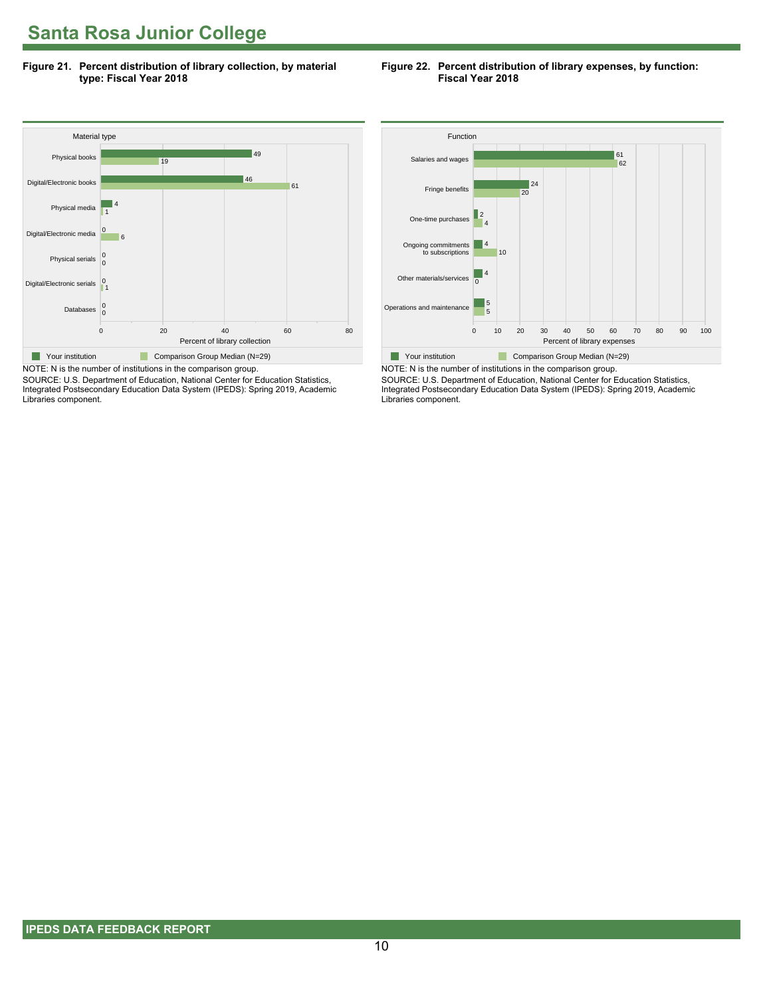**Figure 21. Percent distribution of library collection, by material type: Fiscal Year 2018**

#### **Figure 22. Percent distribution of library expenses, by function: Fiscal Year 2018**



SOURCE: U.S. Department of Education, National Center for Education Statistics, Integrated Postsecondary Education Data System (IPEDS): Spring 2019, Academic Libraries component.



NOTE: N is the number of institutions in the comparison group. SOURCE: U.S. Department of Education, National Center for Education Statistics, Integrated Postsecondary Education Data System (IPEDS): Spring 2019, Academic Libraries component.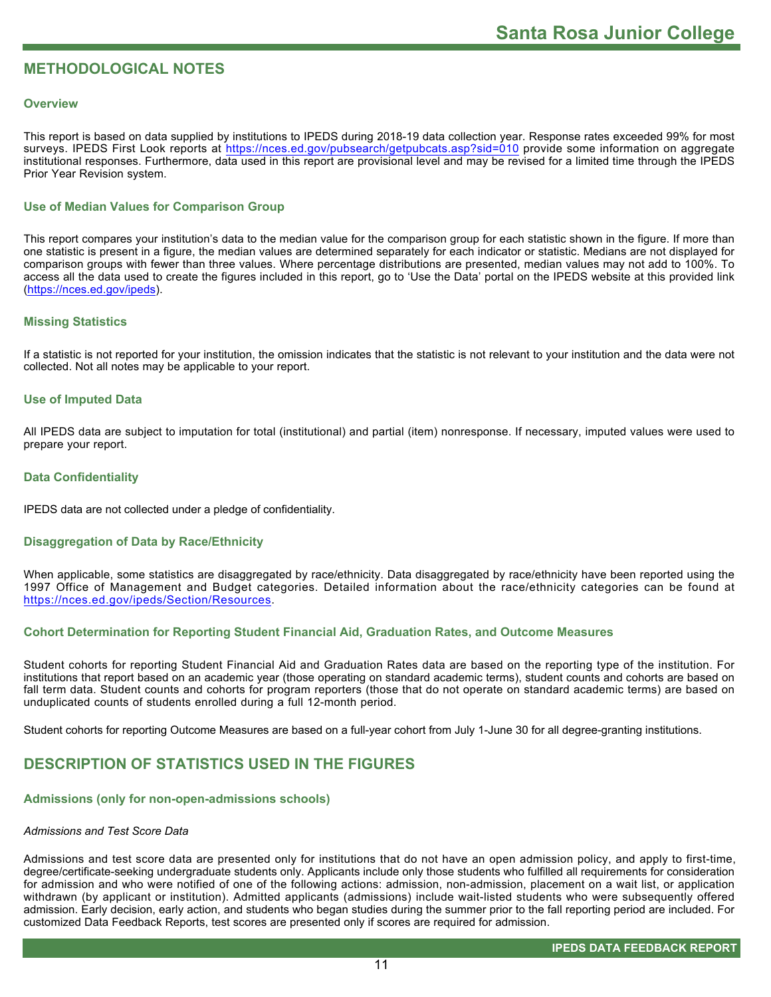# **METHODOLOGICAL NOTES**

#### **Overview**

This report is based on data supplied by institutions to IPEDS during 2018-19 data collection year. Response rates exceeded 99% for most surveys. IPEDS First Look reports at<https://nces.ed.gov/pubsearch/getpubcats.asp?sid=010> provide some information on aggregate institutional responses. Furthermore, data used in this report are provisional level and may be revised for a limited time through the IPEDS Prior Year Revision system.

### **Use of Median Values for Comparison Group**

This report compares your institution's data to the median value for the comparison group for each statistic shown in the figure. If more than one statistic is present in a figure, the median values are determined separately for each indicator or statistic. Medians are not displayed for comparison groups with fewer than three values. Where percentage distributions are presented, median values may not add to 100%. To access all the data used to create the figures included in this report, go to 'Use the Data' portal on the IPEDS website at this provided link ([https://nces.ed.gov/ipeds\)](https://nces.ed.gov/ipeds).

#### **Missing Statistics**

If a statistic is not reported for your institution, the omission indicates that the statistic is not relevant to your institution and the data were not collected. Not all notes may be applicable to your report.

#### **Use of Imputed Data**

All IPEDS data are subject to imputation for total (institutional) and partial (item) nonresponse. If necessary, imputed values were used to prepare your report.

#### **Data Confidentiality**

IPEDS data are not collected under a pledge of confidentiality.

#### **Disaggregation of Data by Race/Ethnicity**

When applicable, some statistics are disaggregated by race/ethnicity. Data disaggregated by race/ethnicity have been reported using the 1997 Office of Management and Budget categories. Detailed information about the race/ethnicity categories can be found at <https://nces.ed.gov/ipeds/Section/Resources>.

### **Cohort Determination for Reporting Student Financial Aid, Graduation Rates, and Outcome Measures**

Student cohorts for reporting Student Financial Aid and Graduation Rates data are based on the reporting type of the institution. For institutions that report based on an academic year (those operating on standard academic terms), student counts and cohorts are based on fall term data. Student counts and cohorts for program reporters (those that do not operate on standard academic terms) are based on unduplicated counts of students enrolled during a full 12-month period.

Student cohorts for reporting Outcome Measures are based on a full-year cohort from July 1-June 30 for all degree-granting institutions.

# **DESCRIPTION OF STATISTICS USED IN THE FIGURES**

#### **Admissions (only for non-open-admissions schools)**

#### *Admissions and Test Score Data*

Admissions and test score data are presented only for institutions that do not have an open admission policy, and apply to first-time, degree/certificate-seeking undergraduate students only. Applicants include only those students who fulfilled all requirements for consideration for admission and who were notified of one of the following actions: admission, non-admission, placement on a wait list, or application withdrawn (by applicant or institution). Admitted applicants (admissions) include wait-listed students who were subsequently offered admission. Early decision, early action, and students who began studies during the summer prior to the fall reporting period are included. For customized Data Feedback Reports, test scores are presented only if scores are required for admission.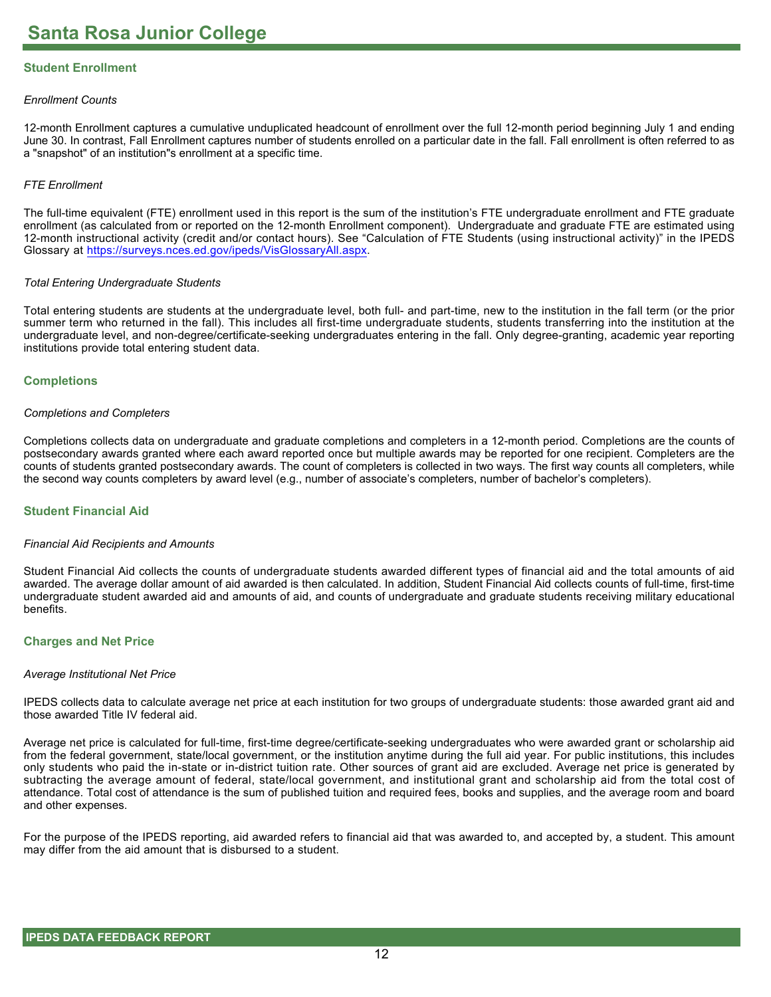# **Student Enrollment**

#### *Enrollment Counts*

12-month Enrollment captures a cumulative unduplicated headcount of enrollment over the full 12-month period beginning July 1 and ending June 30. In contrast, Fall Enrollment captures number of students enrolled on a particular date in the fall. Fall enrollment is often referred to as a "snapshot" of an institution"s enrollment at a specific time.

#### *FTE Enrollment*

The full-time equivalent (FTE) enrollment used in this report is the sum of the institution's FTE undergraduate enrollment and FTE graduate enrollment (as calculated from or reported on the 12-month Enrollment component). Undergraduate and graduate FTE are estimated using 12-month instructional activity (credit and/or contact hours). See "Calculation of FTE Students (using instructional activity)" in the IPEDS Glossary at <https://surveys.nces.ed.gov/ipeds/VisGlossaryAll.aspx>.

#### *Total Entering Undergraduate Students*

Total entering students are students at the undergraduate level, both full- and part-time, new to the institution in the fall term (or the prior summer term who returned in the fall). This includes all first-time undergraduate students, students transferring into the institution at the undergraduate level, and non-degree/certificate-seeking undergraduates entering in the fall. Only degree-granting, academic year reporting institutions provide total entering student data.

#### **Completions**

#### *Completions and Completers*

Completions collects data on undergraduate and graduate completions and completers in a 12-month period. Completions are the counts of postsecondary awards granted where each award reported once but multiple awards may be reported for one recipient. Completers are the counts of students granted postsecondary awards. The count of completers is collected in two ways. The first way counts all completers, while the second way counts completers by award level (e.g., number of associate's completers, number of bachelor's completers).

#### **Student Financial Aid**

#### *Financial Aid Recipients and Amounts*

Student Financial Aid collects the counts of undergraduate students awarded different types of financial aid and the total amounts of aid awarded. The average dollar amount of aid awarded is then calculated. In addition, Student Financial Aid collects counts of full-time, first-time undergraduate student awarded aid and amounts of aid, and counts of undergraduate and graduate students receiving military educational benefits.

#### **Charges and Net Price**

#### *Average Institutional Net Price*

IPEDS collects data to calculate average net price at each institution for two groups of undergraduate students: those awarded grant aid and those awarded Title IV federal aid.

Average net price is calculated for full-time, first-time degree/certificate-seeking undergraduates who were awarded grant or scholarship aid from the federal government, state/local government, or the institution anytime during the full aid year. For public institutions, this includes only students who paid the in-state or in-district tuition rate. Other sources of grant aid are excluded. Average net price is generated by subtracting the average amount of federal, state/local government, and institutional grant and scholarship aid from the total cost of attendance. Total cost of attendance is the sum of published tuition and required fees, books and supplies, and the average room and board and other expenses.

For the purpose of the IPEDS reporting, aid awarded refers to financial aid that was awarded to, and accepted by, a student. This amount may differ from the aid amount that is disbursed to a student.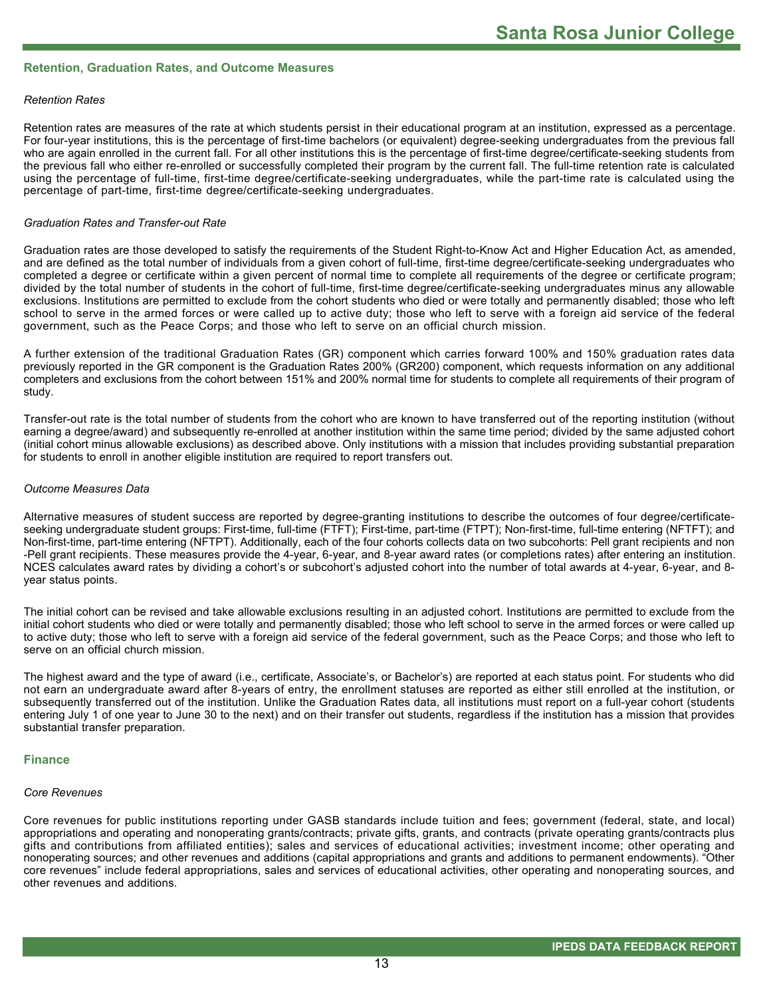#### **Retention, Graduation Rates, and Outcome Measures**

#### *Retention Rates*

Retention rates are measures of the rate at which students persist in their educational program at an institution, expressed as a percentage. For four-year institutions, this is the percentage of first-time bachelors (or equivalent) degree-seeking undergraduates from the previous fall who are again enrolled in the current fall. For all other institutions this is the percentage of first-time degree/certificate-seeking students from the previous fall who either re-enrolled or successfully completed their program by the current fall. The full-time retention rate is calculated using the percentage of full-time, first-time degree/certificate-seeking undergraduates, while the part-time rate is calculated using the percentage of part-time, first-time degree/certificate-seeking undergraduates.

#### *Graduation Rates and Transfer-out Rate*

Graduation rates are those developed to satisfy the requirements of the Student Right-to-Know Act and Higher Education Act, as amended, and are defined as the total number of individuals from a given cohort of full-time, first-time degree/certificate-seeking undergraduates who completed a degree or certificate within a given percent of normal time to complete all requirements of the degree or certificate program; divided by the total number of students in the cohort of full-time, first-time degree/certificate-seeking undergraduates minus any allowable exclusions. Institutions are permitted to exclude from the cohort students who died or were totally and permanently disabled; those who left school to serve in the armed forces or were called up to active duty; those who left to serve with a foreign aid service of the federal government, such as the Peace Corps; and those who left to serve on an official church mission.

A further extension of the traditional Graduation Rates (GR) component which carries forward 100% and 150% graduation rates data previously reported in the GR component is the Graduation Rates 200% (GR200) component, which requests information on any additional completers and exclusions from the cohort between 151% and 200% normal time for students to complete all requirements of their program of study.

Transfer-out rate is the total number of students from the cohort who are known to have transferred out of the reporting institution (without earning a degree/award) and subsequently re-enrolled at another institution within the same time period; divided by the same adjusted cohort (initial cohort minus allowable exclusions) as described above. Only institutions with a mission that includes providing substantial preparation for students to enroll in another eligible institution are required to report transfers out.

#### *Outcome Measures Data*

Alternative measures of student success are reported by degree-granting institutions to describe the outcomes of four degree/certificateseeking undergraduate student groups: First-time, full-time (FTFT); First-time, part-time (FTPT); Non-first-time, full-time entering (NFTFT); and Non-first-time, part-time entering (NFTPT). Additionally, each of the four cohorts collects data on two subcohorts: Pell grant recipients and non -Pell grant recipients. These measures provide the 4-year, 6-year, and 8-year award rates (or completions rates) after entering an institution. NCES calculates award rates by dividing a cohort's or subcohort's adjusted cohort into the number of total awards at 4-year, 6-year, and 8year status points.

The initial cohort can be revised and take allowable exclusions resulting in an adjusted cohort. Institutions are permitted to exclude from the initial cohort students who died or were totally and permanently disabled; those who left school to serve in the armed forces or were called up to active duty; those who left to serve with a foreign aid service of the federal government, such as the Peace Corps; and those who left to serve on an official church mission.

The highest award and the type of award (i.e., certificate, Associate's, or Bachelor's) are reported at each status point. For students who did not earn an undergraduate award after 8-years of entry, the enrollment statuses are reported as either still enrolled at the institution, or subsequently transferred out of the institution. Unlike the Graduation Rates data, all institutions must report on a full-year cohort (students entering July 1 of one year to June 30 to the next) and on their transfer out students, regardless if the institution has a mission that provides substantial transfer preparation.

#### **Finance**

#### *Core Revenues*

Core revenues for public institutions reporting under GASB standards include tuition and fees; government (federal, state, and local) appropriations and operating and nonoperating grants/contracts; private gifts, grants, and contracts (private operating grants/contracts plus gifts and contributions from affiliated entities); sales and services of educational activities; investment income; other operating and nonoperating sources; and other revenues and additions (capital appropriations and grants and additions to permanent endowments). "Other core revenues" include federal appropriations, sales and services of educational activities, other operating and nonoperating sources, and other revenues and additions.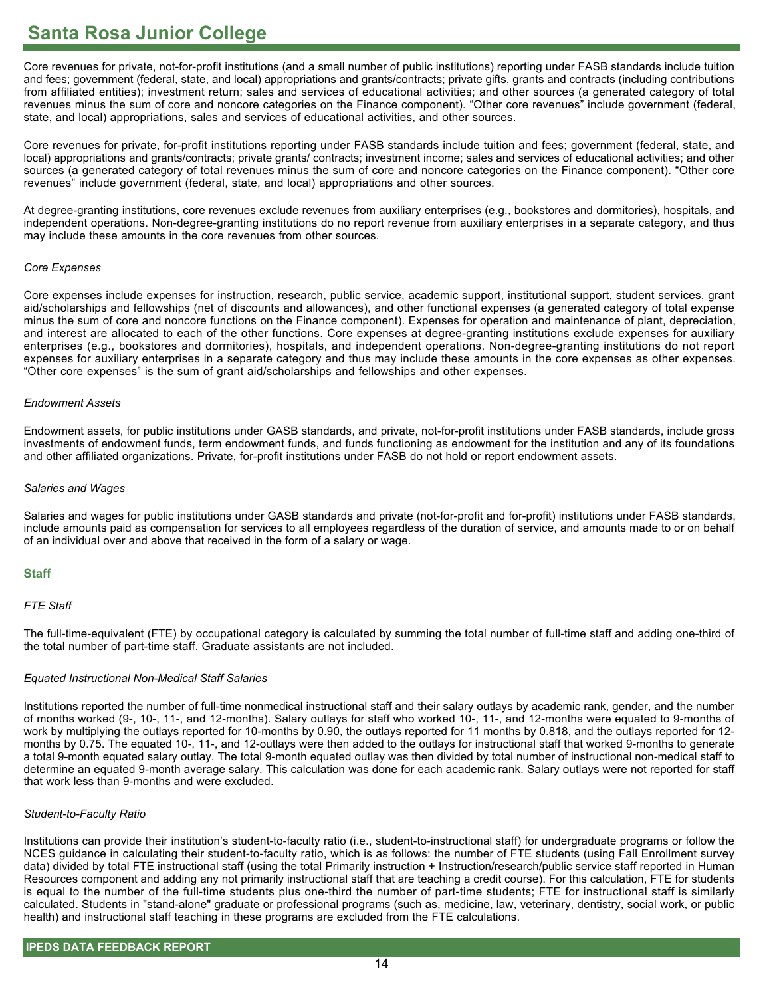Core revenues for private, not-for-profit institutions (and a small number of public institutions) reporting under FASB standards include tuition and fees; government (federal, state, and local) appropriations and grants/contracts; private gifts, grants and contracts (including contributions from affiliated entities); investment return; sales and services of educational activities; and other sources (a generated category of total revenues minus the sum of core and noncore categories on the Finance component). "Other core revenues" include government (federal, state, and local) appropriations, sales and services of educational activities, and other sources.

Core revenues for private, for-profit institutions reporting under FASB standards include tuition and fees; government (federal, state, and local) appropriations and grants/contracts; private grants/ contracts; investment income; sales and services of educational activities; and other sources (a generated category of total revenues minus the sum of core and noncore categories on the Finance component). "Other core revenues" include government (federal, state, and local) appropriations and other sources.

At degree-granting institutions, core revenues exclude revenues from auxiliary enterprises (e.g., bookstores and dormitories), hospitals, and independent operations. Non-degree-granting institutions do no report revenue from auxiliary enterprises in a separate category, and thus may include these amounts in the core revenues from other sources.

#### *Core Expenses*

Core expenses include expenses for instruction, research, public service, academic support, institutional support, student services, grant aid/scholarships and fellowships (net of discounts and allowances), and other functional expenses (a generated category of total expense minus the sum of core and noncore functions on the Finance component). Expenses for operation and maintenance of plant, depreciation, and interest are allocated to each of the other functions. Core expenses at degree-granting institutions exclude expenses for auxiliary enterprises (e.g., bookstores and dormitories), hospitals, and independent operations. Non-degree-granting institutions do not report expenses for auxiliary enterprises in a separate category and thus may include these amounts in the core expenses as other expenses. "Other core expenses" is the sum of grant aid/scholarships and fellowships and other expenses.

#### *Endowment Assets*

Endowment assets, for public institutions under GASB standards, and private, not-for-profit institutions under FASB standards, include gross investments of endowment funds, term endowment funds, and funds functioning as endowment for the institution and any of its foundations and other affiliated organizations. Private, for-profit institutions under FASB do not hold or report endowment assets.

#### *Salaries and Wages*

Salaries and wages for public institutions under GASB standards and private (not-for-profit and for-profit) institutions under FASB standards, include amounts paid as compensation for services to all employees regardless of the duration of service, and amounts made to or on behalf of an individual over and above that received in the form of a salary or wage.

### **Staff**

### *FTE Staff*

The full-time-equivalent (FTE) by occupational category is calculated by summing the total number of full-time staff and adding one-third of the total number of part-time staff. Graduate assistants are not included.

### *Equated Instructional Non-Medical Staff Salaries*

Institutions reported the number of full-time nonmedical instructional staff and their salary outlays by academic rank, gender, and the number of months worked (9-, 10-, 11-, and 12-months). Salary outlays for staff who worked 10-, 11-, and 12-months were equated to 9-months of work by multiplying the outlays reported for 10-months by 0.90, the outlays reported for 11 months by 0.818, and the outlays reported for 12 months by 0.75. The equated 10-, 11-, and 12-outlays were then added to the outlays for instructional staff that worked 9-months to generate a total 9-month equated salary outlay. The total 9-month equated outlay was then divided by total number of instructional non-medical staff to determine an equated 9-month average salary. This calculation was done for each academic rank. Salary outlays were not reported for staff that work less than 9-months and were excluded.

#### *Student-to-Faculty Ratio*

Institutions can provide their institution's student-to-faculty ratio (i.e., student-to-instructional staff) for undergraduate programs or follow the NCES guidance in calculating their student-to-faculty ratio, which is as follows: the number of FTE students (using Fall Enrollment survey data) divided by total FTE instructional staff (using the total Primarily instruction + Instruction/research/public service staff reported in Human Resources component and adding any not primarily instructional staff that are teaching a credit course). For this calculation, FTE for students is equal to the number of the full-time students plus one-third the number of part-time students; FTE for instructional staff is similarly calculated. Students in "stand-alone" graduate or professional programs (such as, medicine, law, veterinary, dentistry, social work, or public health) and instructional staff teaching in these programs are excluded from the FTE calculations.